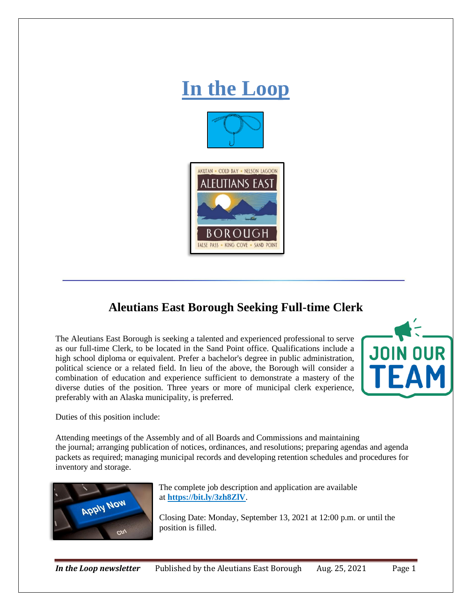

## **Aleutians East Borough Seeking Full-time Clerk**

The Aleutians East Borough is seeking a talented and experienced professional to serve as our full-time Clerk, to be located in the Sand Point office. Qualifications include a high school diploma or equivalent. Prefer a bachelor's degree in public administration, political science or a related field. In lieu of the above, the Borough will consider a combination of education and experience sufficient to demonstrate a mastery of the diverse duties of the position. Three years or more of municipal clerk experience, preferably with an Alaska municipality, is preferred.



Duties of this position include:

Attending meetings of the Assembly and of all Boards and Commissions and maintaining the journal; arranging publication of notices, ordinances, and resolutions; preparing agendas and agenda packets as required; managing municipal records and developing retention schedules and procedures for inventory and storage.



The complete job description and application are available at **<https://bit.ly/3zh8ZlV>**.

Closing Date: Monday, September 13, 2021 at 12:00 p.m. or until the position is filled.